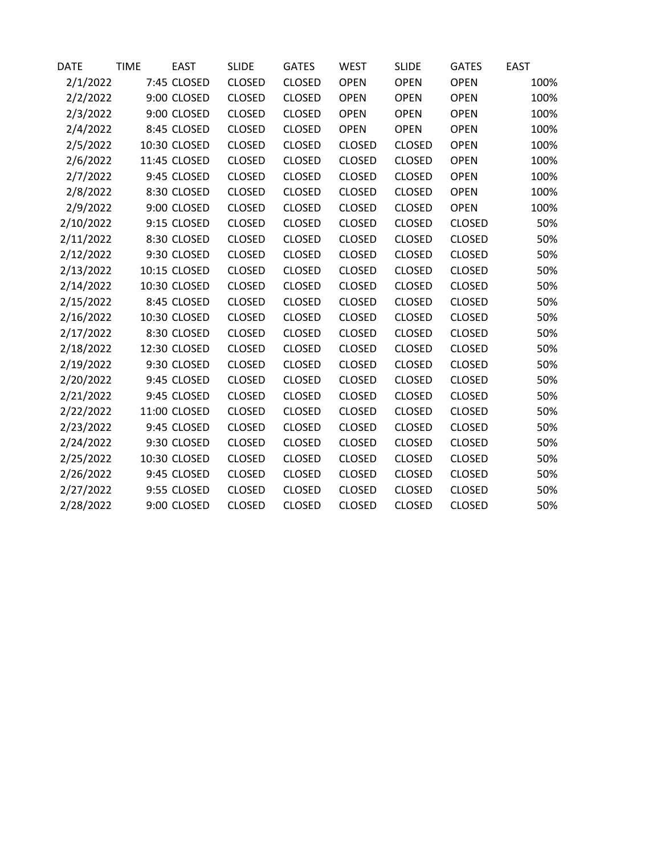| DATE      | <b>TIME</b> | <b>EAST</b>  | <b>SLIDE</b>  | <b>GATES</b>  | <b>WEST</b>   | <b>SLIDE</b>  | <b>GATES</b>  | <b>EAST</b> |
|-----------|-------------|--------------|---------------|---------------|---------------|---------------|---------------|-------------|
| 2/1/2022  |             | 7:45 CLOSED  | <b>CLOSED</b> | <b>CLOSED</b> | <b>OPEN</b>   | <b>OPEN</b>   | <b>OPEN</b>   | 100%        |
| 2/2/2022  |             | 9:00 CLOSED  | <b>CLOSED</b> | <b>CLOSED</b> | <b>OPEN</b>   | <b>OPEN</b>   | <b>OPEN</b>   | 100%        |
| 2/3/2022  |             | 9:00 CLOSED  | <b>CLOSED</b> | <b>CLOSED</b> | <b>OPEN</b>   | <b>OPEN</b>   | <b>OPEN</b>   | 100%        |
| 2/4/2022  |             | 8:45 CLOSED  | <b>CLOSED</b> | <b>CLOSED</b> | <b>OPEN</b>   | <b>OPEN</b>   | <b>OPEN</b>   | 100%        |
| 2/5/2022  |             | 10:30 CLOSED | <b>CLOSED</b> | <b>CLOSED</b> | <b>CLOSED</b> | <b>CLOSED</b> | <b>OPEN</b>   | 100%        |
| 2/6/2022  |             | 11:45 CLOSED | <b>CLOSED</b> | <b>CLOSED</b> | <b>CLOSED</b> | <b>CLOSED</b> | <b>OPEN</b>   | 100%        |
| 2/7/2022  |             | 9:45 CLOSED  | <b>CLOSED</b> | <b>CLOSED</b> | <b>CLOSED</b> | <b>CLOSED</b> | <b>OPEN</b>   | 100%        |
| 2/8/2022  |             | 8:30 CLOSED  | <b>CLOSED</b> | <b>CLOSED</b> | <b>CLOSED</b> | <b>CLOSED</b> | <b>OPEN</b>   | 100%        |
| 2/9/2022  |             | 9:00 CLOSED  | <b>CLOSED</b> | <b>CLOSED</b> | <b>CLOSED</b> | <b>CLOSED</b> | <b>OPEN</b>   | 100%        |
| 2/10/2022 |             | 9:15 CLOSED  | <b>CLOSED</b> | <b>CLOSED</b> | <b>CLOSED</b> | <b>CLOSED</b> | <b>CLOSED</b> | 50%         |
| 2/11/2022 |             | 8:30 CLOSED  | <b>CLOSED</b> | <b>CLOSED</b> | <b>CLOSED</b> | <b>CLOSED</b> | <b>CLOSED</b> | 50%         |
| 2/12/2022 |             | 9:30 CLOSED  | <b>CLOSED</b> | <b>CLOSED</b> | <b>CLOSED</b> | <b>CLOSED</b> | <b>CLOSED</b> | 50%         |
| 2/13/2022 |             | 10:15 CLOSED | <b>CLOSED</b> | <b>CLOSED</b> | <b>CLOSED</b> | <b>CLOSED</b> | <b>CLOSED</b> | 50%         |
| 2/14/2022 |             | 10:30 CLOSED | <b>CLOSED</b> | <b>CLOSED</b> | <b>CLOSED</b> | <b>CLOSED</b> | <b>CLOSED</b> | 50%         |
| 2/15/2022 |             | 8:45 CLOSED  | <b>CLOSED</b> | <b>CLOSED</b> | <b>CLOSED</b> | <b>CLOSED</b> | <b>CLOSED</b> | 50%         |
| 2/16/2022 |             | 10:30 CLOSED | <b>CLOSED</b> | <b>CLOSED</b> | <b>CLOSED</b> | <b>CLOSED</b> | <b>CLOSED</b> | 50%         |
| 2/17/2022 |             | 8:30 CLOSED  | <b>CLOSED</b> | <b>CLOSED</b> | CLOSED        | <b>CLOSED</b> | <b>CLOSED</b> | 50%         |
| 2/18/2022 |             | 12:30 CLOSED | <b>CLOSED</b> | <b>CLOSED</b> | <b>CLOSED</b> | <b>CLOSED</b> | <b>CLOSED</b> | 50%         |
| 2/19/2022 |             | 9:30 CLOSED  | <b>CLOSED</b> | <b>CLOSED</b> | <b>CLOSED</b> | <b>CLOSED</b> | <b>CLOSED</b> | 50%         |
| 2/20/2022 |             | 9:45 CLOSED  | <b>CLOSED</b> | <b>CLOSED</b> | <b>CLOSED</b> | <b>CLOSED</b> | <b>CLOSED</b> | 50%         |
| 2/21/2022 |             | 9:45 CLOSED  | <b>CLOSED</b> | <b>CLOSED</b> | <b>CLOSED</b> | <b>CLOSED</b> | <b>CLOSED</b> | 50%         |
| 2/22/2022 |             | 11:00 CLOSED | <b>CLOSED</b> | <b>CLOSED</b> | <b>CLOSED</b> | <b>CLOSED</b> | <b>CLOSED</b> | 50%         |
| 2/23/2022 |             | 9:45 CLOSED  | <b>CLOSED</b> | <b>CLOSED</b> | <b>CLOSED</b> | <b>CLOSED</b> | <b>CLOSED</b> | 50%         |
| 2/24/2022 |             | 9:30 CLOSED  | <b>CLOSED</b> | <b>CLOSED</b> | <b>CLOSED</b> | <b>CLOSED</b> | <b>CLOSED</b> | 50%         |
| 2/25/2022 |             | 10:30 CLOSED | <b>CLOSED</b> | <b>CLOSED</b> | <b>CLOSED</b> | <b>CLOSED</b> | <b>CLOSED</b> | 50%         |
| 2/26/2022 |             | 9:45 CLOSED  | <b>CLOSED</b> | <b>CLOSED</b> | <b>CLOSED</b> | <b>CLOSED</b> | <b>CLOSED</b> | 50%         |
| 2/27/2022 |             | 9:55 CLOSED  | <b>CLOSED</b> | <b>CLOSED</b> | <b>CLOSED</b> | <b>CLOSED</b> | <b>CLOSED</b> | 50%         |
| 2/28/2022 |             | 9:00 CLOSED  | <b>CLOSED</b> | <b>CLOSED</b> | <b>CLOSED</b> | <b>CLOSED</b> | <b>CLOSED</b> | 50%         |